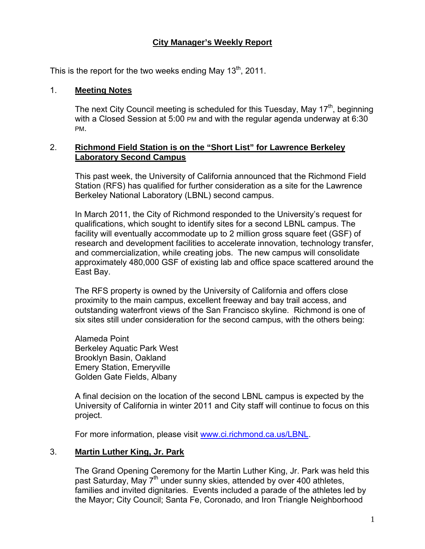# **City Manager's Weekly Report**

This is the report for the two weeks ending May  $13<sup>th</sup>$ , 2011.

#### 1. **Meeting Notes**

The next City Council meeting is scheduled for this Tuesday, May  $17<sup>th</sup>$ , beginning with a Closed Session at 5:00 PM and with the regular agenda underway at 6:30 PM.

#### 2. **Richmond Field Station is on the "Short List" for Lawrence Berkeley Laboratory Second Campus**

This past week, the University of California announced that the Richmond Field Station (RFS) has qualified for further consideration as a site for the Lawrence Berkeley National Laboratory (LBNL) second campus.

In March 2011, the City of Richmond responded to the University's request for qualifications, which sought to identify sites for a second LBNL campus. The facility will eventually accommodate up to 2 million gross square feet (GSF) of research and development facilities to accelerate innovation, technology transfer, and commercialization, while creating jobs. The new campus will consolidate approximately 480,000 GSF of existing lab and office space scattered around the East Bay.

The RFS property is owned by the University of California and offers close proximity to the main campus, excellent freeway and bay trail access, and outstanding waterfront views of the San Francisco skyline. Richmond is one of six sites still under consideration for the second campus, with the others being:

Alameda Point Berkeley Aquatic Park West Brooklyn Basin, Oakland Emery Station, Emeryville Golden Gate Fields, Albany

A final decision on the location of the second LBNL campus is expected by the University of California in winter 2011 and City staff will continue to focus on this project.

For more information, please visit [www.ci.richmond.ca.us/LBNL.](http://www.ci.richmond.ca.us/LBNL)

### 3. **Martin Luther King, Jr. Park**

The Grand Opening Ceremony for the Martin Luther King, Jr. Park was held this past Saturday, May 7<sup>th</sup> under sunny skies, attended by over 400 athletes, families and invited dignitaries. Events included a parade of the athletes led by the Mayor; City Council; Santa Fe, Coronado, and Iron Triangle Neighborhood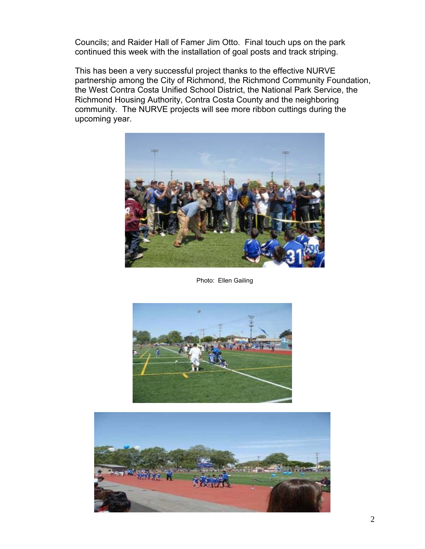Councils; and Raider Hall of Famer Jim Otto. Final touch ups on the park continued this week with the installation of goal posts and track striping.

This has been a very successful project thanks to the effective NURVE partnership among the City of Richmond, the Richmond Community Foundation, the West Contra Costa Unified School District, the National Park Service, the Richmond Housing Authority, Contra Costa County and the neighboring community. The NURVE projects will see more ribbon cuttings during the upcoming year.



Photo: Ellen Gailing



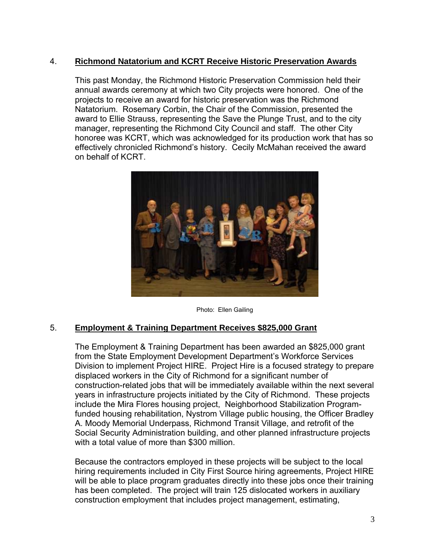### 4. **Richmond Natatorium and KCRT Receive Historic Preservation Awards**

This past Monday, the Richmond Historic Preservation Commission held their annual awards ceremony at which two City projects were honored. One of the projects to receive an award for historic preservation was the Richmond Natatorium. Rosemary Corbin, the Chair of the Commission, presented the award to Ellie Strauss, representing the Save the Plunge Trust, and to the city manager, representing the Richmond City Council and staff. The other City honoree was KCRT, which was acknowledged for its production work that has so effectively chronicled Richmond's history. Cecily McMahan received the award on behalf of KCRT.



Photo: Ellen Gailing

### 5. **Employment & Training Department Receives \$825,000 Grant**

The Employment & Training Department has been awarded an \$825,000 grant from the State Employment Development Department's Workforce Services Division to implement Project HIRE. Project Hire is a focused strategy to prepare displaced workers in the City of Richmond for a significant number of construction-related jobs that will be immediately available within the next several years in infrastructure projects initiated by the City of Richmond. These projects include the Mira Flores housing project, Neighborhood Stabilization Programfunded housing rehabilitation, Nystrom Village public housing, the Officer Bradley A. Moody Memorial Underpass, Richmond Transit Village, and retrofit of the Social Security Administration building, and other planned infrastructure projects with a total value of more than \$300 million.

Because the contractors employed in these projects will be subject to the local hiring requirements included in City First Source hiring agreements, Project HIRE will be able to place program graduates directly into these jobs once their training has been completed. The project will train 125 dislocated workers in auxiliary construction employment that includes project management, estimating,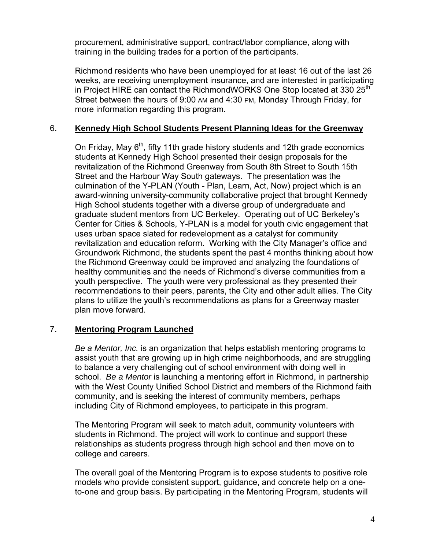procurement, administrative support, contract/labor compliance, along with training in the building trades for a portion of the participants.

Richmond residents who have been unemployed for at least 16 out of the last 26 weeks, are receiving unemployment insurance, and are interested in participating in Project HIRE can contact the RichmondWORKS One Stop located at 330 25<sup>th</sup> Street between the hours of 9:00 AM and 4:30 PM, Monday Through Friday, for more information regarding this program.

# 6. **Kennedy High School Students Present Planning Ideas for the Greenway**

On Friday, May  $6<sup>th</sup>$ , fifty 11th grade history students and 12th grade economics students at Kennedy High School presented their design proposals for the revitalization of the Richmond Greenway from South 8th Street to South 15th Street and the Harbour Way South gateways. The presentation was the culmination of the Y-PLAN (Youth - Plan, Learn, Act, Now) project which is an award-winning university-community collaborative project that brought Kennedy High School students together with a diverse group of undergraduate and graduate student mentors from UC Berkeley. Operating out of UC Berkeley's Center for Cities & Schools, Y-PLAN is a model for youth civic engagement that uses urban space slated for redevelopment as a catalyst for community revitalization and education reform. Working with the City Manager's office and Groundwork Richmond, the students spent the past 4 months thinking about how the Richmond Greenway could be improved and analyzing the foundations of healthy communities and the needs of Richmond's diverse communities from a youth perspective. The youth were very professional as they presented their recommendations to their peers, parents, the City and other adult allies. The City plans to utilize the youth's recommendations as plans for a Greenway master plan move forward.

# 7. **Mentoring Program Launched**

*Be a Mentor, Inc.* is an organization that helps establish mentoring programs to assist youth that are growing up in high crime neighborhoods, and are struggling to balance a very challenging out of school environment with doing well in school. *Be a Mentor* is launching a mentoring effort in Richmond, in partnership with the West County Unified School District and members of the Richmond faith community, and is seeking the interest of community members, perhaps including City of Richmond employees, to participate in this program.

The Mentoring Program will seek to match adult, community volunteers with students in Richmond. The project will work to continue and support these relationships as students progress through high school and then move on to college and careers.

The overall goal of the Mentoring Program is to expose students to positive role models who provide consistent support, guidance, and concrete help on a oneto-one and group basis. By participating in the Mentoring Program, students will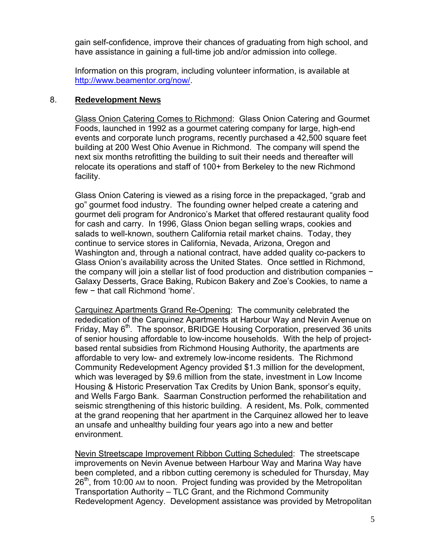gain self-confidence, improve their chances of graduating from high school, and have assistance in gaining a full-time job and/or admission into college.

Information on this program, including volunteer information, is available at <http://www.beamentor.org/now/>.

### 8. **Redevelopment News**

Glass Onion Catering Comes to Richmond: Glass Onion Catering and Gourmet Foods, launched in 1992 as a gourmet catering company for large, high-end events and corporate lunch programs, recently purchased a 42,500 square feet building at 200 West Ohio Avenue in Richmond. The company will spend the next six months retrofitting the building to suit their needs and thereafter will relocate its operations and staff of 100+ from Berkeley to the new Richmond facility.

Glass Onion Catering is viewed as a rising force in the prepackaged, "grab and go" gourmet food industry. The founding owner helped create a catering and gourmet deli program for Andronico's Market that offered restaurant quality food for cash and carry. In 1996, Glass Onion began selling wraps, cookies and salads to well-known, southern California retail market chains. Today, they continue to service stores in California, Nevada, Arizona, Oregon and Washington and, through a national contract, have added quality co-packers to Glass Onion's availability across the United States. Once settled in Richmond, the company will join a stellar list of food production and distribution companies − Galaxy Desserts, Grace Baking, Rubicon Bakery and Zoe's Cookies, to name a few − that call Richmond 'home'.

Carquinez Apartments Grand Re-Opening: The community celebrated the rededication of the Carquinez Apartments at Harbour Way and Nevin Avenue on Friday, May 6<sup>th</sup>. The sponsor, BRIDGE Housing Corporation, preserved 36 units of senior housing affordable to low-income households. With the help of projectbased rental subsidies from Richmond Housing Authority, the apartments are affordable to very low- and extremely low-income residents. The Richmond Community Redevelopment Agency provided \$1.3 million for the development, which was leveraged by \$9.6 million from the state, investment in Low Income Housing & Historic Preservation Tax Credits by Union Bank, sponsor's equity, and Wells Fargo Bank. Saarman Construction performed the rehabilitation and seismic strengthening of this historic building. A resident, Ms. Polk, commented at the grand reopening that her apartment in the Carquinez allowed her to leave an unsafe and unhealthy building four years ago into a new and better environment.

Nevin Streetscape Improvement Ribbon Cutting Scheduled: The streetscape improvements on Nevin Avenue between Harbour Way and Marina Way have been completed, and a ribbon cutting ceremony is scheduled for Thursday, May 26<sup>th</sup>, from 10:00 AM to noon. Project funding was provided by the Metropolitan Transportation Authority – TLC Grant, and the Richmond Community Redevelopment Agency. Development assistance was provided by Metropolitan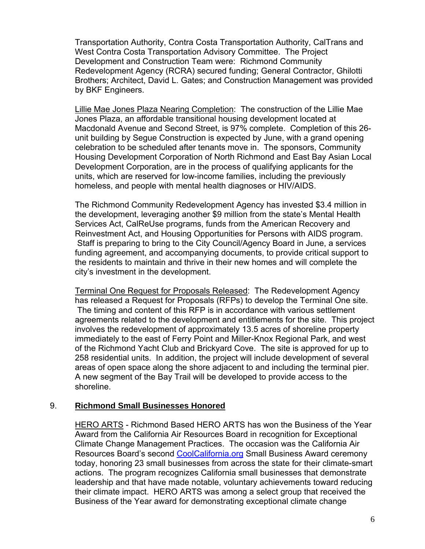Transportation Authority, Contra Costa Transportation Authority, CalTrans and West Contra Costa Transportation Advisory Committee. The Project Development and Construction Team were: Richmond Community Redevelopment Agency (RCRA) secured funding; General Contractor, Ghilotti Brothers; Architect, David L. Gates; and Construction Management was provided by BKF Engineers.

Lillie Mae Jones Plaza Nearing Completion: The construction of the Lillie Mae Jones Plaza, an affordable transitional housing development located at Macdonald Avenue and Second Street, is 97% complete. Completion of this 26 unit building by Segue Construction is expected by June, with a grand opening celebration to be scheduled after tenants move in. The sponsors, Community Housing Development Corporation of North Richmond and East Bay Asian Local Development Corporation, are in the process of qualifying applicants for the units, which are reserved for low-income families, including the previously homeless, and people with mental health diagnoses or HIV/AIDS.

The Richmond Community Redevelopment Agency has invested \$3.4 million in the development, leveraging another \$9 million from the state's Mental Health Services Act, CalReUse programs, funds from the American Recovery and Reinvestment Act, and Housing Opportunities for Persons with AIDS program. Staff is preparing to bring to the City Council/Agency Board in June, a services funding agreement, and accompanying documents, to provide critical support to the residents to maintain and thrive in their new homes and will complete the city's investment in the development.

Terminal One Request for Proposals Released: The Redevelopment Agency has released a Request for Proposals (RFPs) to develop the Terminal One site. The timing and content of this RFP is in accordance with various settlement agreements related to the development and entitlements for the site. This project involves the redevelopment of approximately 13.5 acres of shoreline property immediately to the east of Ferry Point and Miller-Knox Regional Park, and west of the Richmond Yacht Club and Brickyard Cove. The site is approved for up to 258 residential units. In addition, the project will include development of several areas of open space along the shore adjacent to and including the terminal pier. A new segment of the Bay Trail will be developed to provide access to the shoreline.

### 9. **Richmond Small Businesses Honored**

HERO ARTS - Richmond Based HERO ARTS has won the Business of the Year Award from the California Air Resources Board in recognition for Exceptional Climate Change Management Practices. The occasion was the California Air Resources Board's second [CoolCalifornia.org](http://coolcalifornia.org/) Small Business Award ceremony today, honoring 23 small businesses from across the state for their climate-smart actions. The program recognizes California small businesses that demonstrate leadership and that have made notable, voluntary achievements toward reducing their climate impact. HERO ARTS was among a select group that received the Business of the Year award for demonstrating exceptional climate change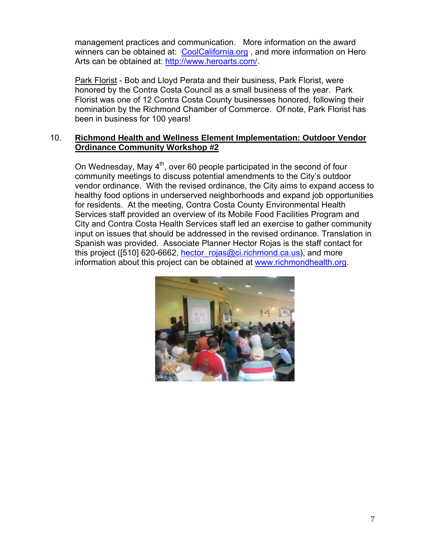management practices and communication. More information on the award winners can be obtained at: CoolCalifornia.org, and more information on Hero Arts can be obtained at: [http://www.heroarts.com/.](http://www.heroarts.com/)

Park Florist - Bob and Lloyd Perata and their business, Park Florist, were honored by the Contra Costa Council as a small business of the year. Park Florist was one of 12 Contra Costa County businesses honored, following their nomination by the Richmond Chamber of Commerce. Of note, Park Florist has been in business for 100 years!

### 10. **Richmond Health and Wellness Element Implementation: Outdoor Vendor Ordinance Community Workshop #2**

On Wednesday, May  $4<sup>th</sup>$ , over 60 people participated in the second of four community meetings to discuss potential amendments to the City's outdoor vendor ordinance. With the revised ordinance, the City aims to expand access to healthy food options in underserved neighborhoods and expand job opportunities for residents. At the meeting, Contra Costa County Environmental Health Services staff provided an overview of its Mobile Food Facilities Program and City and Contra Costa Health Services staff led an exercise to gather community input on issues that should be addressed in the revised ordinance. Translation in Spanish was provided. Associate Planner Hector Rojas is the staff contact for this project ([510] 620-6662, hector  $rojas@ci.richmond.ca.us$ ), and more information about this project can be obtained at [www.richmondhealth.org](http://www.richmondhealth.org/).

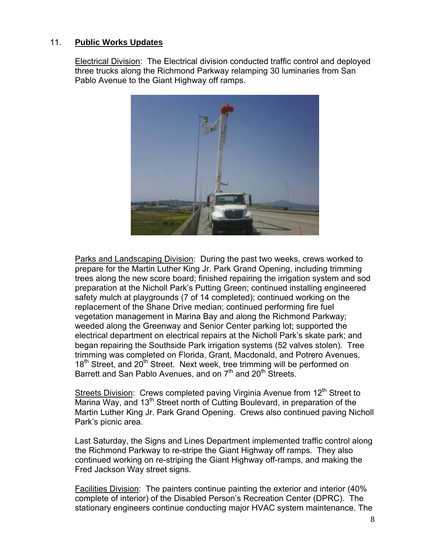### 11. **Public Works Updates**

Electrical Division: The Electrical division conducted traffic control and deployed three trucks along the Richmond Parkway relamping 30 luminaries from San Pablo Avenue to the Giant Highway off ramps.



Parks and Landscaping Division: During the past two weeks, crews worked to prepare for the Martin Luther King Jr. Park Grand Opening, including trimming trees along the new score board; finished repairing the irrigation system and sod preparation at the Nicholl Park's Putting Green; continued installing engineered safety mulch at playgrounds (7 of 14 completed); continued working on the replacement of the Shane Drive median; continued performing fire fuel vegetation management in Marina Bay and along the Richmond Parkway; weeded along the Greenway and Senior Center parking lot; supported the electrical department on electrical repairs at the Nicholl Park's skate park; and began repairing the Southside Park irrigation systems (52 valves stolen). Tree trimming was completed on Florida, Grant, Macdonald, and Potrero Avenues, 18<sup>th</sup> Street, and 20<sup>th</sup> Street. Next week, tree trimming will be performed on Barrett and San Pablo Avenues, and on  $7<sup>th</sup>$  and  $20<sup>th</sup>$  Streets.

Streets Division: Crews completed paving Virginia Avenue from 12<sup>th</sup> Street to Marina Way, and 13<sup>th</sup> Street north of Cutting Boulevard, in preparation of the Martin Luther King Jr. Park Grand Opening. Crews also continued paving Nicholl Park's picnic area.

Last Saturday, the Signs and Lines Department implemented traffic control along the Richmond Parkway to re-stripe the Giant Highway off ramps. They also continued working on re-striping the Giant Highway off-ramps, and making the Fred Jackson Way street signs.

Facilities Division: The painters continue painting the exterior and interior (40% complete of interior) of the Disabled Person's Recreation Center (DPRC). The stationary engineers continue conducting major HVAC system maintenance. The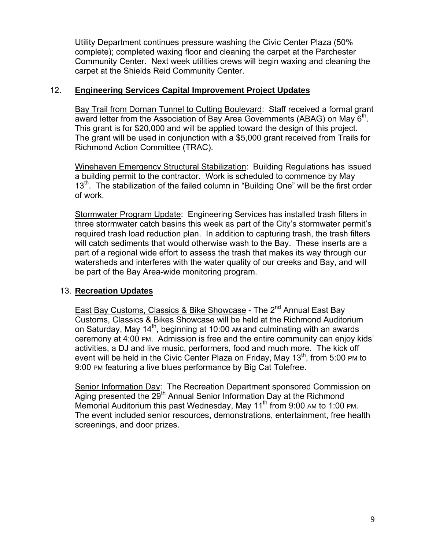Utility Department continues pressure washing the Civic Center Plaza (50% complete); completed waxing floor and cleaning the carpet at the Parchester Community Center. Next week utilities crews will begin waxing and cleaning the carpet at the Shields Reid Community Center.

### 12. **Engineering Services Capital Improvement Project Updates**

Bay Trail from Dornan Tunnel to Cutting Boulevard: Staff received a formal grant award letter from the Association of Bay Area Governments (ABAG) on May  $6<sup>th</sup>$ . This grant is for \$20,000 and will be applied toward the design of this project. The grant will be used in conjunction with a \$5,000 grant received from Trails for Richmond Action Committee (TRAC).

Winehaven Emergency Structural Stabilization: Building Regulations has issued a building permit to the contractor. Work is scheduled to commence by May 13<sup>th</sup>. The stabilization of the failed column in "Building One" will be the first order of work.

Stormwater Program Update: Engineering Services has installed trash filters in three stormwater catch basins this week as part of the City's stormwater permit's required trash load reduction plan. In addition to capturing trash, the trash filters will catch sediments that would otherwise wash to the Bay. These inserts are a part of a regional wide effort to assess the trash that makes its way through our watersheds and interferes with the water quality of our creeks and Bay, and will be part of the Bay Area-wide monitoring program.

# 13. **Recreation Updates**

East Bay Customs, Classics & Bike Showcase - The 2<sup>nd</sup> Annual East Bay Customs, Classics & Bikes Showcase will be held at the Richmond Auditorium on Saturday, May 14th, beginning at 10:00 AM and culminating with an awards ceremony at 4:00 PM. Admission is free and the entire community can enjoy kids' activities, a DJ and live music, performers, food and much more. The kick off event will be held in the Civic Center Plaza on Friday, May  $13<sup>th</sup>$ , from 5:00 PM to 9:00 PM featuring a live blues performance by Big Cat Tolefree.

Senior Information Day: The Recreation Department sponsored Commission on Aging presented the  $29<sup>th</sup>$  Annual Senior Information Day at the Richmond Memorial Auditorium this past Wednesday, May  $11<sup>th</sup>$  from 9:00 AM to 1:00 PM. The event included senior resources, demonstrations, entertainment, free health screenings, and door prizes.